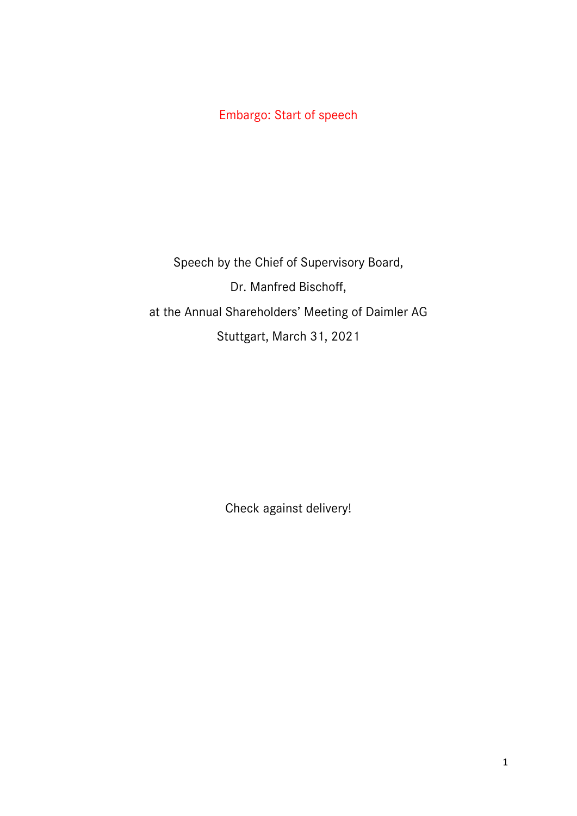Embargo: Start of speech

Speech by the Chief of Supervisory Board, Dr. Manfred Bischoff, at the Annual Shareholders' Meeting of Daimler AG Stuttgart, March 31, 2021

Check against delivery!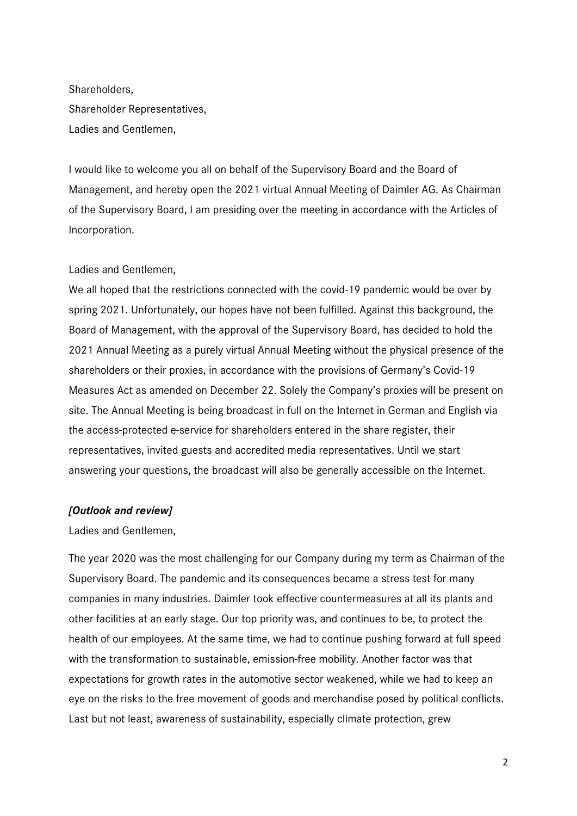Shareholders, Shareholder Representatives, Ladies and Gentlemen,

I would like to welcome you all on behalf of the Supervisory Board and the Board of Management, and hereby open the 2021 virtual Annual Meeting of Daimler AG. As Chairman of the Supervisory Board, I am presiding over the meeting in accordance with the Articles of Incorporation.

### Ladies and Gentlemen,

We all hoped that the restrictions connected with the covid-19 pandemic would be over by spring 2021. Unfortunately, our hopes have not been fulfilled. Against this background, the Board of Management, with the approval of the Supervisory Board, has decided to hold the 2021 Annual Meeting as a purely virtual Annual Meeting without the physical presence of the shareholders or their proxies, in accordance with the provisions of Germany's Covid-19 Measures Act as amended on December 22. Solely the Company's proxies will be present on site. The Annual Meeting is being broadcast in full on the Internet in German and English via the access-protected e-service for shareholders entered in the share register, their representatives, invited guests and accredited media representatives. Until we start answering your questions, the broadcast will also be generally accessible on the Internet.

#### *[Outlook and review]*

Ladies and Gentlemen,

The year 2020 was the most challenging for our Company during my term as Chairman of the Supervisory Board. The pandemic and its consequences became a stress test for many companies in many industries. Daimler took effective countermeasures at all its plants and other facilities at an early stage. Our top priority was, and continues to be, to protect the health of our employees. At the same time, we had to continue pushing forward at full speed with the transformation to sustainable, emission-free mobility. Another factor was that expectations for growth rates in the automotive sector weakened, while we had to keep an eye on the risks to the free movement of goods and merchandise posed by political conflicts. Last but not least, awareness of sustainability, especially climate protection, grew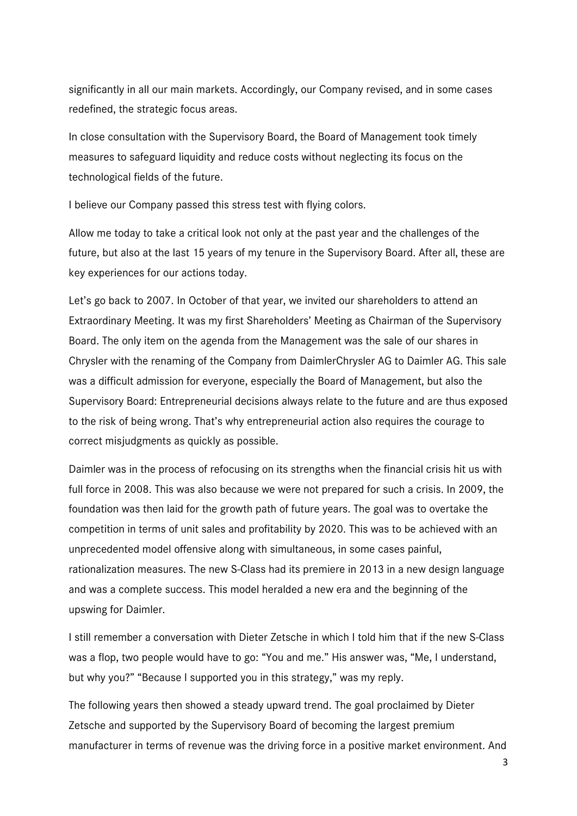significantly in all our main markets. Accordingly, our Company revised, and in some cases redefined, the strategic focus areas.

In close consultation with the Supervisory Board, the Board of Management took timely measures to safeguard liquidity and reduce costs without neglecting its focus on the technological fields of the future.

I believe our Company passed this stress test with flying colors.

Allow me today to take a critical look not only at the past year and the challenges of the future, but also at the last 15 years of my tenure in the Supervisory Board. After all, these are key experiences for our actions today.

Let's go back to 2007. In October of that year, we invited our shareholders to attend an Extraordinary Meeting. It was my first Shareholders' Meeting as Chairman of the Supervisory Board. The only item on the agenda from the Management was the sale of our shares in Chrysler with the renaming of the Company from DaimlerChrysler AG to Daimler AG. This sale was a difficult admission for everyone, especially the Board of Management, but also the Supervisory Board: Entrepreneurial decisions always relate to the future and are thus exposed to the risk of being wrong. That's why entrepreneurial action also requires the courage to correct misjudgments as quickly as possible.

Daimler was in the process of refocusing on its strengths when the financial crisis hit us with full force in 2008. This was also because we were not prepared for such a crisis. In 2009, the foundation was then laid for the growth path of future years. The goal was to overtake the competition in terms of unit sales and profitability by 2020. This was to be achieved with an unprecedented model offensive along with simultaneous, in some cases painful, rationalization measures. The new S-Class had its premiere in 2013 in a new design language and was a complete success. This model heralded a new era and the beginning of the upswing for Daimler.

I still remember a conversation with Dieter Zetsche in which I told him that if the new S-Class was a flop, two people would have to go: "You and me." His answer was, "Me, I understand, but why you?" "Because I supported you in this strategy," was my reply.

The following years then showed a steady upward trend. The goal proclaimed by Dieter Zetsche and supported by the Supervisory Board of becoming the largest premium manufacturer in terms of revenue was the driving force in a positive market environment. And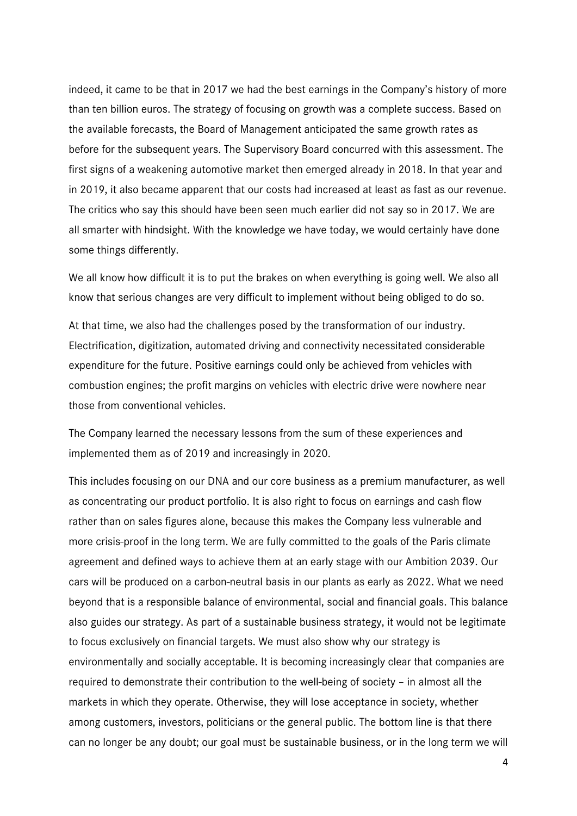indeed, it came to be that in 2017 we had the best earnings in the Company's history of more than ten billion euros. The strategy of focusing on growth was a complete success. Based on the available forecasts, the Board of Management anticipated the same growth rates as before for the subsequent years. The Supervisory Board concurred with this assessment. The first signs of a weakening automotive market then emerged already in 2018. In that year and in 2019, it also became apparent that our costs had increased at least as fast as our revenue. The critics who say this should have been seen much earlier did not say so in 2017. We are all smarter with hindsight. With the knowledge we have today, we would certainly have done some things differently.

We all know how difficult it is to put the brakes on when everything is going well. We also all know that serious changes are very difficult to implement without being obliged to do so.

At that time, we also had the challenges posed by the transformation of our industry. Electrification, digitization, automated driving and connectivity necessitated considerable expenditure for the future. Positive earnings could only be achieved from vehicles with combustion engines; the profit margins on vehicles with electric drive were nowhere near those from conventional vehicles.

The Company learned the necessary lessons from the sum of these experiences and implemented them as of 2019 and increasingly in 2020.

This includes focusing on our DNA and our core business as a premium manufacturer, as well as concentrating our product portfolio. It is also right to focus on earnings and cash flow rather than on sales figures alone, because this makes the Company less vulnerable and more crisis-proof in the long term. We are fully committed to the goals of the Paris climate agreement and defined ways to achieve them at an early stage with our Ambition 2039. Our cars will be produced on a carbon-neutral basis in our plants as early as 2022. What we need beyond that is a responsible balance of environmental, social and financial goals. This balance also guides our strategy. As part of a sustainable business strategy, it would not be legitimate to focus exclusively on financial targets. We must also show why our strategy is environmentally and socially acceptable. It is becoming increasingly clear that companies are required to demonstrate their contribution to the well-being of society – in almost all the markets in which they operate. Otherwise, they will lose acceptance in society, whether among customers, investors, politicians or the general public. The bottom line is that there can no longer be any doubt; our goal must be sustainable business, or in the long term we will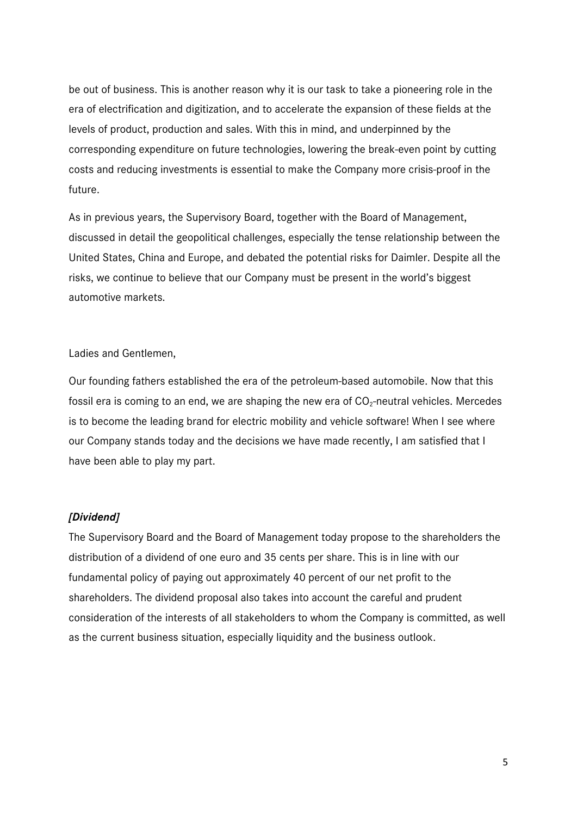be out of business. This is another reason why it is our task to take a pioneering role in the era of electrification and digitization, and to accelerate the expansion of these fields at the levels of product, production and sales. With this in mind, and underpinned by the corresponding expenditure on future technologies, lowering the break-even point by cutting costs and reducing investments is essential to make the Company more crisis-proof in the future.

As in previous years, the Supervisory Board, together with the Board of Management, discussed in detail the geopolitical challenges, especially the tense relationship between the United States, China and Europe, and debated the potential risks for Daimler. Despite all the risks, we continue to believe that our Company must be present in the world's biggest automotive markets.

## Ladies and Gentlemen,

Our founding fathers established the era of the petroleum-based automobile. Now that this fossil era is coming to an end, we are shaping the new era of  $CO_2$ -neutral vehicles. Mercedes is to become the leading brand for electric mobility and vehicle software! When I see where our Company stands today and the decisions we have made recently, I am satisfied that I have been able to play my part.

# *[Dividend]*

The Supervisory Board and the Board of Management today propose to the shareholders the distribution of a dividend of one euro and 35 cents per share. This is in line with our fundamental policy of paying out approximately 40 percent of our net profit to the shareholders. The dividend proposal also takes into account the careful and prudent consideration of the interests of all stakeholders to whom the Company is committed, as well as the current business situation, especially liquidity and the business outlook.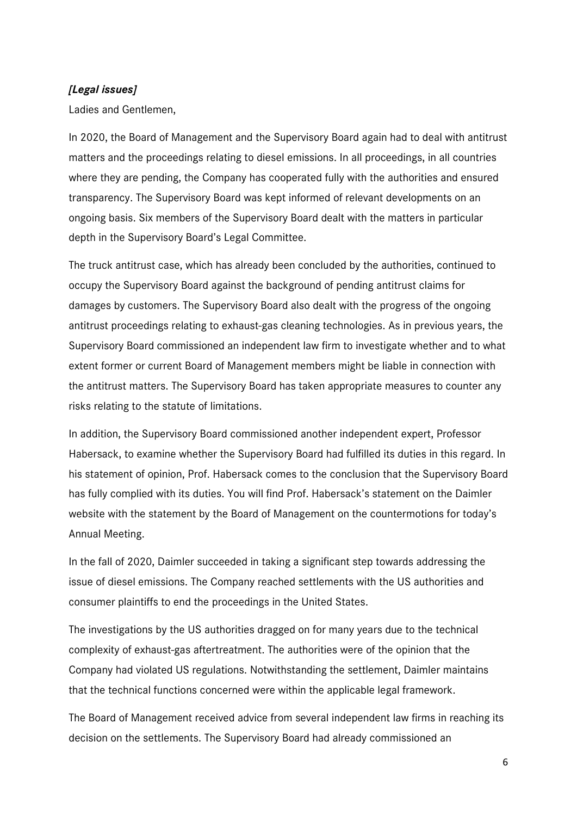## *[Legal issues]*

Ladies and Gentlemen,

In 2020, the Board of Management and the Supervisory Board again had to deal with antitrust matters and the proceedings relating to diesel emissions. In all proceedings, in all countries where they are pending, the Company has cooperated fully with the authorities and ensured transparency. The Supervisory Board was kept informed of relevant developments on an ongoing basis. Six members of the Supervisory Board dealt with the matters in particular depth in the Supervisory Board's Legal Committee.

The truck antitrust case, which has already been concluded by the authorities, continued to occupy the Supervisory Board against the background of pending antitrust claims for damages by customers. The Supervisory Board also dealt with the progress of the ongoing antitrust proceedings relating to exhaust-gas cleaning technologies. As in previous years, the Supervisory Board commissioned an independent law firm to investigate whether and to what extent former or current Board of Management members might be liable in connection with the antitrust matters. The Supervisory Board has taken appropriate measures to counter any risks relating to the statute of limitations.

In addition, the Supervisory Board commissioned another independent expert, Professor Habersack, to examine whether the Supervisory Board had fulfilled its duties in this regard. In his statement of opinion, Prof. Habersack comes to the conclusion that the Supervisory Board has fully complied with its duties. You will find Prof. Habersack's statement on the Daimler website with the statement by the Board of Management on the countermotions for today's Annual Meeting.

In the fall of 2020, Daimler succeeded in taking a significant step towards addressing the issue of diesel emissions. The Company reached settlements with the US authorities and consumer plaintiffs to end the proceedings in the United States.

The investigations by the US authorities dragged on for many years due to the technical complexity of exhaust-gas aftertreatment. The authorities were of the opinion that the Company had violated US regulations. Notwithstanding the settlement, Daimler maintains that the technical functions concerned were within the applicable legal framework.

The Board of Management received advice from several independent law firms in reaching its decision on the settlements. The Supervisory Board had already commissioned an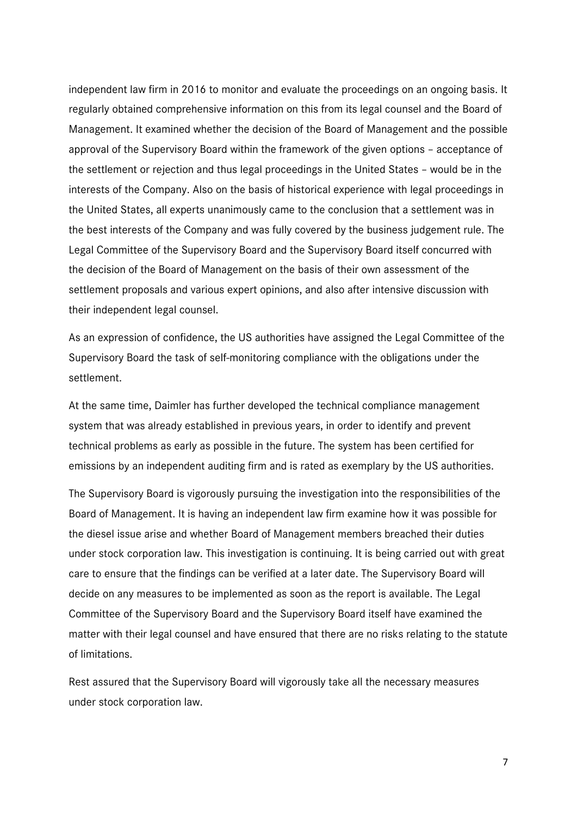independent law firm in 2016 to monitor and evaluate the proceedings on an ongoing basis. It regularly obtained comprehensive information on this from its legal counsel and the Board of Management. It examined whether the decision of the Board of Management and the possible approval of the Supervisory Board within the framework of the given options – acceptance of the settlement or rejection and thus legal proceedings in the United States – would be in the interests of the Company. Also on the basis of historical experience with legal proceedings in the United States, all experts unanimously came to the conclusion that a settlement was in the best interests of the Company and was fully covered by the business judgement rule. The Legal Committee of the Supervisory Board and the Supervisory Board itself concurred with the decision of the Board of Management on the basis of their own assessment of the settlement proposals and various expert opinions, and also after intensive discussion with their independent legal counsel.

As an expression of confidence, the US authorities have assigned the Legal Committee of the Supervisory Board the task of self-monitoring compliance with the obligations under the settlement.

At the same time, Daimler has further developed the technical compliance management system that was already established in previous years, in order to identify and prevent technical problems as early as possible in the future. The system has been certified for emissions by an independent auditing firm and is rated as exemplary by the US authorities.

The Supervisory Board is vigorously pursuing the investigation into the responsibilities of the Board of Management. It is having an independent law firm examine how it was possible for the diesel issue arise and whether Board of Management members breached their duties under stock corporation law. This investigation is continuing. It is being carried out with great care to ensure that the findings can be verified at a later date. The Supervisory Board will decide on any measures to be implemented as soon as the report is available. The Legal Committee of the Supervisory Board and the Supervisory Board itself have examined the matter with their legal counsel and have ensured that there are no risks relating to the statute of limitations.

Rest assured that the Supervisory Board will vigorously take all the necessary measures under stock corporation law.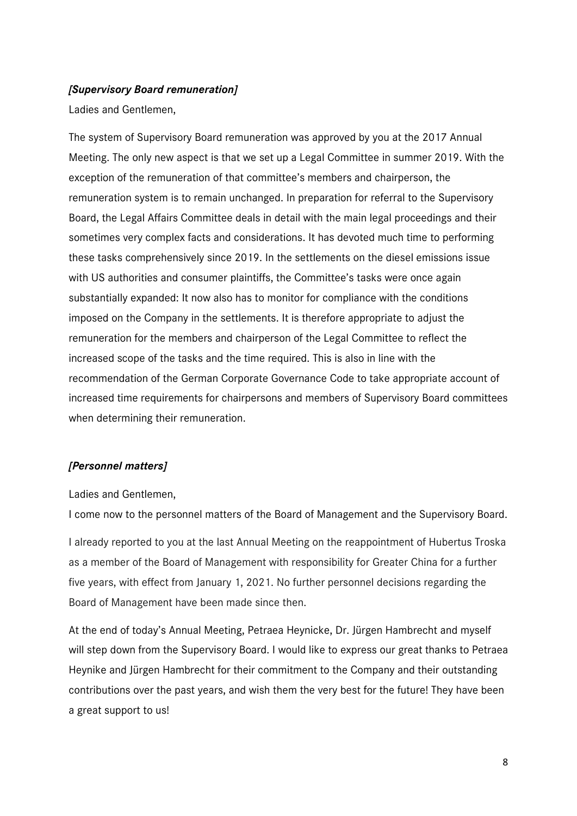## *[Supervisory Board remuneration]*

Ladies and Gentlemen,

The system of Supervisory Board remuneration was approved by you at the 2017 Annual Meeting. The only new aspect is that we set up a Legal Committee in summer 2019. With the exception of the remuneration of that committee's members and chairperson, the remuneration system is to remain unchanged. In preparation for referral to the Supervisory Board, the Legal Affairs Committee deals in detail with the main legal proceedings and their sometimes very complex facts and considerations. It has devoted much time to performing these tasks comprehensively since 2019. In the settlements on the diesel emissions issue with US authorities and consumer plaintiffs, the Committee's tasks were once again substantially expanded: It now also has to monitor for compliance with the conditions imposed on the Company in the settlements. It is therefore appropriate to adjust the remuneration for the members and chairperson of the Legal Committee to reflect the increased scope of the tasks and the time required. This is also in line with the recommendation of the German Corporate Governance Code to take appropriate account of increased time requirements for chairpersons and members of Supervisory Board committees when determining their remuneration.

# *[Personnel matters]*

Ladies and Gentlemen,

I come now to the personnel matters of the Board of Management and the Supervisory Board.

I already reported to you at the last Annual Meeting on the reappointment of Hubertus Troska as a member of the Board of Management with responsibility for Greater China for a further five years, with effect from January 1, 2021. No further personnel decisions regarding the Board of Management have been made since then.

At the end of today's Annual Meeting, Petraea Heynicke, Dr. Jürgen Hambrecht and myself will step down from the Supervisory Board. I would like to express our great thanks to Petraea Heynike and Jürgen Hambrecht for their commitment to the Company and their outstanding contributions over the past years, and wish them the very best for the future! They have been a great support to us!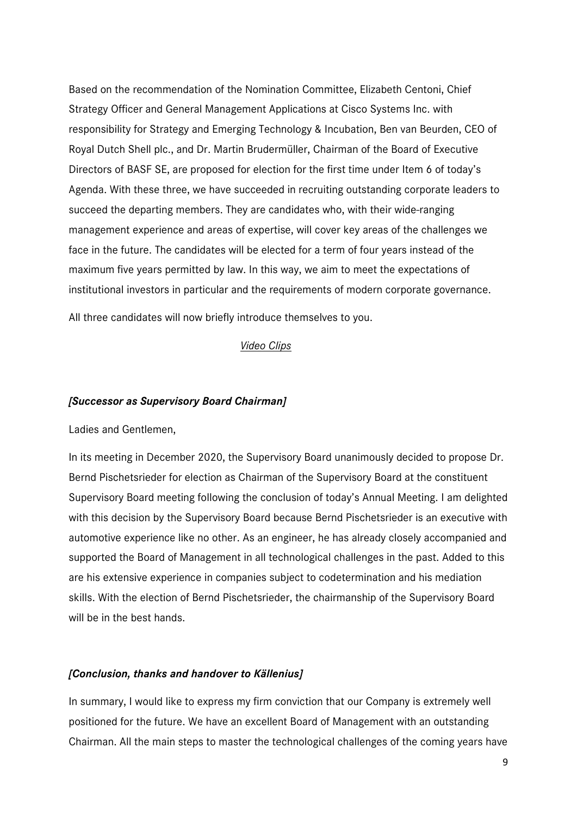Based on the recommendation of the Nomination Committee, Elizabeth Centoni, Chief Strategy Officer and General Management Applications at Cisco Systems Inc. with responsibility for Strategy and Emerging Technology & Incubation, Ben van Beurden, CEO of Royal Dutch Shell plc., and Dr. Martin Brudermüller, Chairman of the Board of Executive Directors of BASF SE, are proposed for election for the first time under Item 6 of today's Agenda. With these three, we have succeeded in recruiting outstanding corporate leaders to succeed the departing members. They are candidates who, with their wide-ranging management experience and areas of expertise, will cover key areas of the challenges we face in the future. The candidates will be elected for a term of four years instead of the maximum five years permitted by law. In this way, we aim to meet the expectations of institutional investors in particular and the requirements of modern corporate governance.

All three candidates will now briefly introduce themselves to you.

## *Video Clips*

## *[Successor as Supervisory Board Chairman]*

Ladies and Gentlemen,

In its meeting in December 2020, the Supervisory Board unanimously decided to propose Dr. Bernd Pischetsrieder for election as Chairman of the Supervisory Board at the constituent Supervisory Board meeting following the conclusion of today's Annual Meeting. I am delighted with this decision by the Supervisory Board because Bernd Pischetsrieder is an executive with automotive experience like no other. As an engineer, he has already closely accompanied and supported the Board of Management in all technological challenges in the past. Added to this are his extensive experience in companies subject to codetermination and his mediation skills. With the election of Bernd Pischetsrieder, the chairmanship of the Supervisory Board will be in the best hands.

## *[Conclusion, thanks and handover to Källenius]*

In summary, I would like to express my firm conviction that our Company is extremely well positioned for the future. We have an excellent Board of Management with an outstanding Chairman. All the main steps to master the technological challenges of the coming years have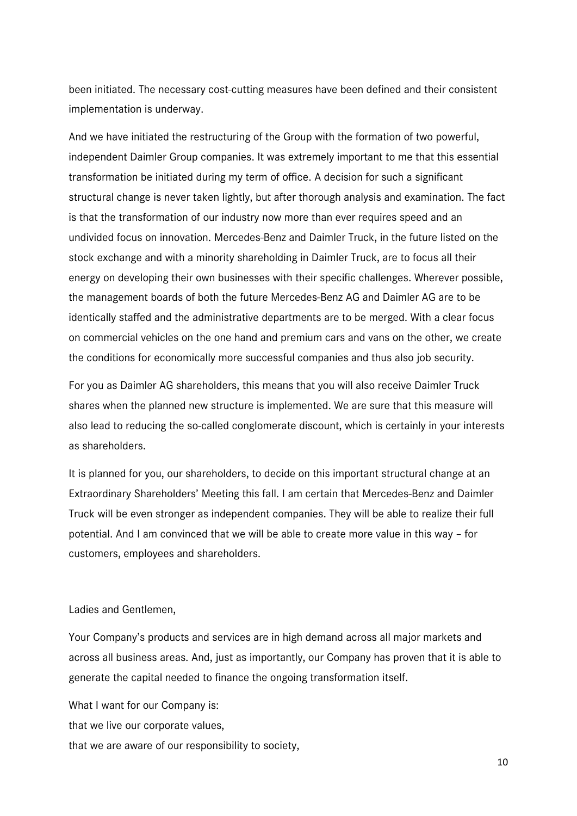been initiated. The necessary cost-cutting measures have been defined and their consistent implementation is underway.

And we have initiated the restructuring of the Group with the formation of two powerful, independent Daimler Group companies. It was extremely important to me that this essential transformation be initiated during my term of office. A decision for such a significant structural change is never taken lightly, but after thorough analysis and examination. The fact is that the transformation of our industry now more than ever requires speed and an undivided focus on innovation. Mercedes-Benz and Daimler Truck, in the future listed on the stock exchange and with a minority shareholding in Daimler Truck, are to focus all their energy on developing their own businesses with their specific challenges. Wherever possible, the management boards of both the future Mercedes-Benz AG and Daimler AG are to be identically staffed and the administrative departments are to be merged. With a clear focus on commercial vehicles on the one hand and premium cars and vans on the other, we create the conditions for economically more successful companies and thus also job security.

For you as Daimler AG shareholders, this means that you will also receive Daimler Truck shares when the planned new structure is implemented. We are sure that this measure will also lead to reducing the so-called conglomerate discount, which is certainly in your interests as shareholders.

It is planned for you, our shareholders, to decide on this important structural change at an Extraordinary Shareholders' Meeting this fall. I am certain that Mercedes-Benz and Daimler Truck will be even stronger as independent companies. They will be able to realize their full potential. And I am convinced that we will be able to create more value in this way – for customers, employees and shareholders.

#### Ladies and Gentlemen,

Your Company's products and services are in high demand across all major markets and across all business areas. And, just as importantly, our Company has proven that it is able to generate the capital needed to finance the ongoing transformation itself.

What I want for our Company is: that we live our corporate values, that we are aware of our responsibility to society,